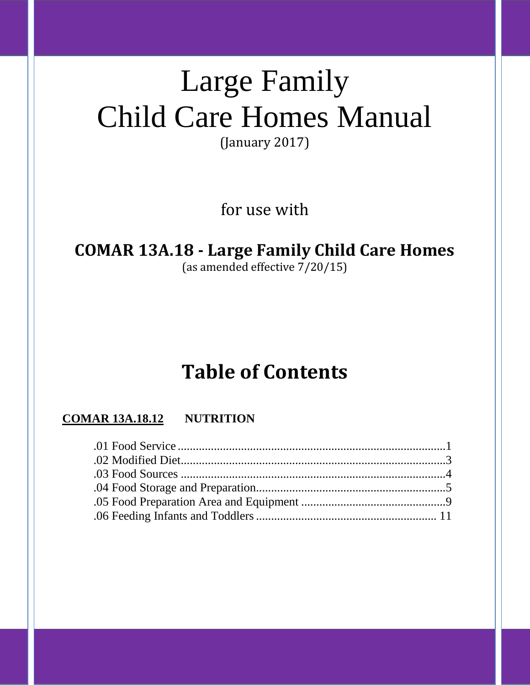# Large Family Child Care Homes Manual

(January 2017)

for use with

# **COMAR 13A.18 - Large Family Child Care Homes**

(as amended effective 7/20/15)

# **Table of Contents**

## **COMAR 13A.18.12 NUTRITION**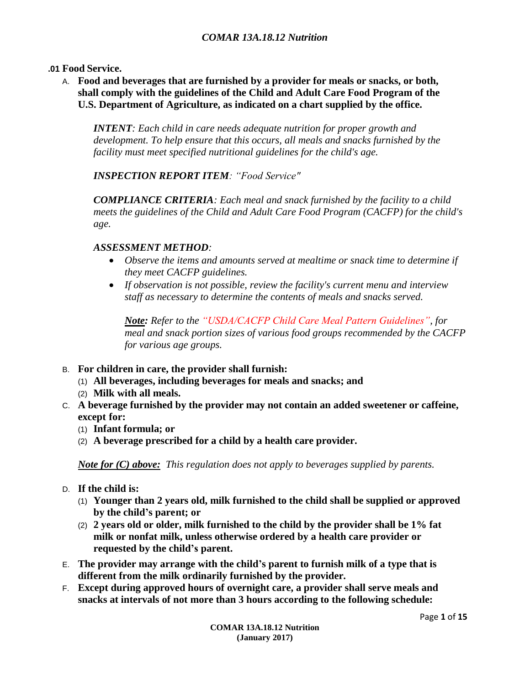**.01 Food Service.**

A. **Food and beverages that are furnished by a provider for meals or snacks, or both, shall comply with the guidelines of the Child and Adult Care Food Program of the U.S. Department of Agriculture, as indicated on a chart supplied by the office.**

*INTENT: Each child in care needs adequate nutrition for proper growth and development. To help ensure that this occurs, all meals and snacks furnished by the facility must meet specified nutritional guidelines for the child's age.*

*INSPECTION REPORT ITEM: "Food Service"*

*COMPLIANCE CRITERIA: Each meal and snack furnished by the facility to a child meets the guidelines of the Child and Adult Care Food Program (CACFP) for the child's age.*

#### *ASSESSMENT METHOD:*

- *Observe the items and amounts served at mealtime or snack time to determine if they meet CACFP guidelines.*
- *If observation is not possible, review the facility's current menu and interview staff as necessary to determine the contents of meals and snacks served.*

*Note: Refer to the "USDA/CACFP Child Care Meal Pattern Guidelines", for meal and snack portion sizes of various food groups recommended by the CACFP for various age groups.*

- B. **For children in care, the provider shall furnish:**
	- (1) **All beverages, including beverages for meals and snacks; and**
	- (2) **Milk with all meals.**
- C. **A beverage furnished by the provider may not contain an added sweetener or caffeine, except for:**
	- (1) **Infant formula; or**
	- (2) **A beverage prescribed for a child by a health care provider.**

*Note for (C) above: This regulation does not apply to beverages supplied by parents.*

- D. **If the child is:**
	- (1) **Younger than 2 years old, milk furnished to the child shall be supplied or approved by the child's parent; or**
	- (2) **2 years old or older, milk furnished to the child by the provider shall be 1% fat milk or nonfat milk, unless otherwise ordered by a health care provider or requested by the child's parent.**
- E. **The provider may arrange with the child's parent to furnish milk of a type that is different from the milk ordinarily furnished by the provider.**
- F. **Except during approved hours of overnight care, a provider shall serve meals and snacks at intervals of not more than 3 hours according to the following schedule:**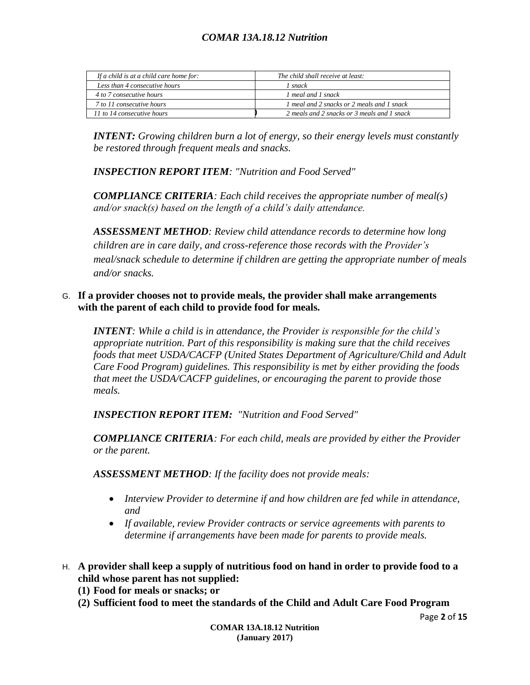| If a child is at a child care home for: | The child shall receive at least:           |
|-----------------------------------------|---------------------------------------------|
| Less than 4 consecutive hours           | 1 snack                                     |
| 4 to 7 consecutive hours                | 1 meal and 1 snack                          |
| 7 to 11 consecutive hours               | 1 meal and 2 snacks or 2 meals and 1 snack  |
| 11 to 14 consecutive hours              | 2 meals and 2 snacks or 3 meals and 1 snack |

*INTENT: Growing children burn a lot of energy, so their energy levels must constantly be restored through frequent meals and snacks.*

*INSPECTION REPORT ITEM: "Nutrition and Food Served"*

*COMPLIANCE CRITERIA: Each child receives the appropriate number of meal(s) and/or snack(s) based on the length of a child's daily attendance.*

*ASSESSMENT METHOD: Review child attendance records to determine how long children are in care daily, and cross-reference those records with the Provider's meal/snack schedule to determine if children are getting the appropriate number of meals and/or snacks.*

#### G. **If a provider chooses not to provide meals, the provider shall make arrangements with the parent of each child to provide food for meals.**

*INTENT: While a child is in attendance, the Provider is responsible for the child's appropriate nutrition. Part of this responsibility is making sure that the child receives foods that meet USDA/CACFP (United States Department of Agriculture/Child and Adult Care Food Program) guidelines. This responsibility is met by either providing the foods that meet the USDA/CACFP guidelines, or encouraging the parent to provide those meals.*

*INSPECTION REPORT ITEM: "Nutrition and Food Served"*

*COMPLIANCE CRITERIA: For each child, meals are provided by either the Provider or the parent.*

*ASSESSMENT METHOD: If the facility does not provide meals:*

- *Interview Provider to determine if and how children are fed while in attendance, and*
- *If available, review Provider contracts or service agreements with parents to determine if arrangements have been made for parents to provide meals.*
- H. **A provider shall keep a supply of nutritious food on hand in order to provide food to a child whose parent has not supplied:**
	- **(1) Food for meals or snacks; or**
	- **(2) Sufficient food to meet the standards of the Child and Adult Care Food Program**

Page **2** of **15**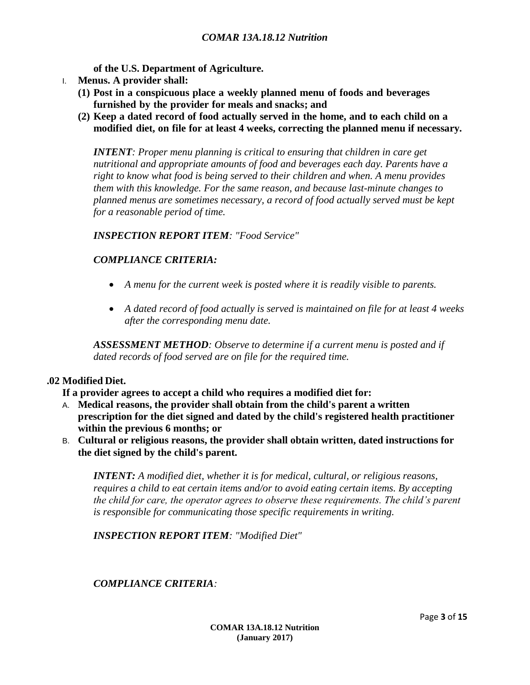**of the U.S. Department of Agriculture.**

- I. **Menus. A provider shall:**
	- **(1) Post in a conspicuous place a weekly planned menu of foods and beverages furnished by the provider for meals and snacks; and**
	- **(2) Keep a dated record of food actually served in the home, and to each child on a modified diet, on file for at least 4 weeks, correcting the planned menu if necessary.**

*INTENT: Proper menu planning is critical to ensuring that children in care get nutritional and appropriate amounts of food and beverages each day. Parents have a right to know what food is being served to their children and when. A menu provides them with this knowledge. For the same reason, and because last-minute changes to planned menus are sometimes necessary, a record of food actually served must be kept for a reasonable period of time.*

*INSPECTION REPORT ITEM: "Food Service"*

#### *COMPLIANCE CRITERIA:*

- *A menu for the current week is posted where it is readily visible to parents.*
- *A dated record of food actually is served is maintained on file for at least 4 weeks after the corresponding menu date.*

*ASSESSMENT METHOD: Observe to determine if a current menu is posted and if dated records of food served are on file for the required time.*

#### **.02 Modified Diet.**

**If a provider agrees to accept a child who requires a modified diet for:**

- A. **Medical reasons, the provider shall obtain from the child's parent a written prescription for the diet signed and dated by the child's registered health practitioner within the previous 6 months; or**
- B. **Cultural or religious reasons, the provider shall obtain written, dated instructions for the diet signed by the child's parent.**

*INTENT: A modified diet, whether it is for medical, cultural, or religious reasons, requires a child to eat certain items and/or to avoid eating certain items. By accepting the child for care, the operator agrees to observe these requirements. The child's parent is responsible for communicating those specific requirements in writing.*

*INSPECTION REPORT ITEM: "Modified Diet"*

*COMPLIANCE CRITERIA:*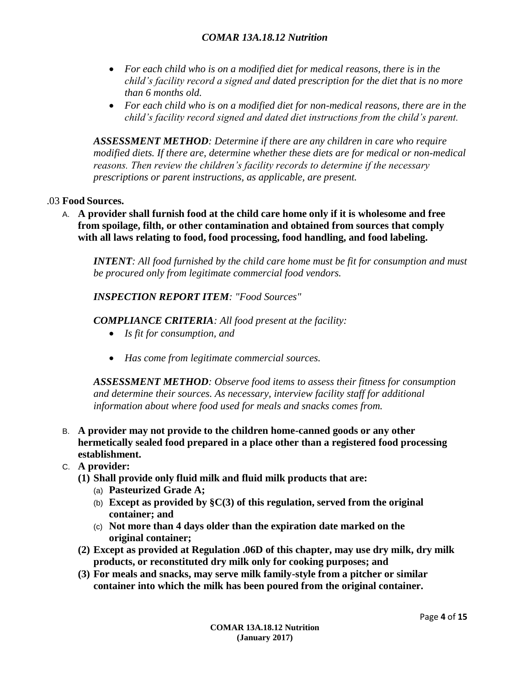- *For each child who is on a modified diet for medical reasons, there is in the child's facility record a signed and dated prescription for the diet that is no more than 6 months old.*
- *For each child who is on a modified diet for non-medical reasons, there are in the child's facility record signed and dated diet instructions from the child's parent.*

*ASSESSMENT METHOD: Determine if there are any children in care who require modified diets. If there are, determine whether these diets are for medical or non-medical reasons. Then review the children's facility records to determine if the necessary prescriptions or parent instructions, as applicable, are present.*

#### .03 **Food Sources.**

A. **A provider shall furnish food at the child care home only if it is wholesome and free from spoilage, filth, or other contamination and obtained from sources that comply with all laws relating to food, food processing, food handling, and food labeling.**

*INTENT: All food furnished by the child care home must be fit for consumption and must be procured only from legitimate commercial food vendors.*

#### *INSPECTION REPORT ITEM: "Food Sources"*

#### *COMPLIANCE CRITERIA: All food present at the facility:*

- *Is fit for consumption, and*
- *Has come from legitimate commercial sources.*

*ASSESSMENT METHOD: Observe food items to assess their fitness for consumption and determine their sources. As necessary, interview facility staff for additional information about where food used for meals and snacks comes from.*

B. **A provider may not provide to the children home-canned goods or any other hermetically sealed food prepared in a place other than a registered food processing establishment.**

#### C. **A provider:**

- **(1) Shall provide only fluid milk and fluid milk products that are:**
	- (a) **Pasteurized Grade A;**
	- (b) **Except as provided by §C(3) of this regulation, served from the original container; and**
	- (c) **Not more than 4 days older than the expiration date marked on the original container;**
- **(2) Except as provided at Regulation .06D of this chapter, may use dry milk, dry milk products, or reconstituted dry milk only for cooking purposes; and**
- **(3) For meals and snacks, may serve milk family-style from a pitcher or similar container into which the milk has been poured from the original container.**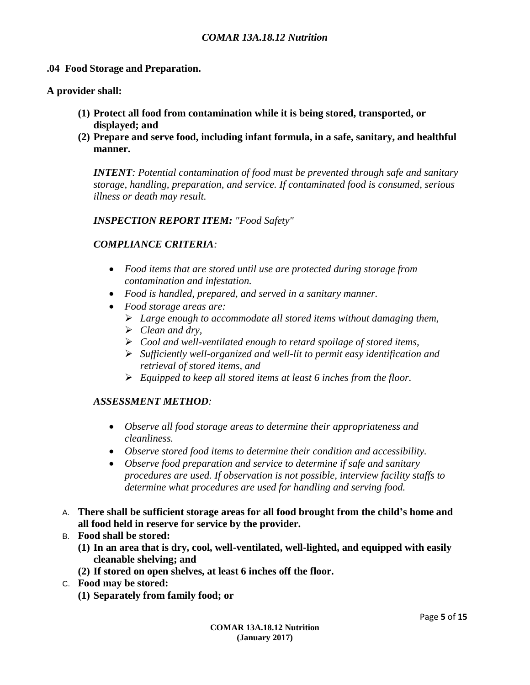#### **.04 Food Storage and Preparation.**

#### **A provider shall:**

- **(1) Protect all food from contamination while it is being stored, transported, or displayed; and**
- **(2) Prepare and serve food, including infant formula, in a safe, sanitary, and healthful manner.**

*INTENT: Potential contamination of food must be prevented through safe and sanitary storage, handling, preparation, and service. If contaminated food is consumed, serious illness or death may result.*

#### *INSPECTION REPORT ITEM: "Food Safety"*

#### *COMPLIANCE CRITERIA:*

- *Food items that are stored until use are protected during storage from contamination and infestation.*
- *Food is handled, prepared, and served in a sanitary manner.*
- *Food storage areas are:*
	- *Large enough to accommodate all stored items without damaging them,*
	- *Clean and dry,*
	- *Cool and well-ventilated enough to retard spoilage of stored items,*
	- *Sufficiently well-organized and well-lit to permit easy identification and retrieval of stored items, and*
	- *Equipped to keep all stored items at least 6 inches from the floor.*

#### *ASSESSMENT METHOD:*

- *Observe all food storage areas to determine their appropriateness and cleanliness.*
- *Observe stored food items to determine their condition and accessibility.*
- *Observe food preparation and service to determine if safe and sanitary procedures are used. If observation is not possible, interview facility staffs to determine what procedures are used for handling and serving food.*
- A. **There shall be sufficient storage areas for all food brought from the child's home and all food held in reserve for service by the provider.**
- B. **Food shall be stored:**
	- **(1) In an area that is dry, cool, well-ventilated, well-lighted, and equipped with easily cleanable shelving; and**
	- **(2) If stored on open shelves, at least 6 inches off the floor.**
- C. **Food may be stored:**
	- **(1) Separately from family food; or**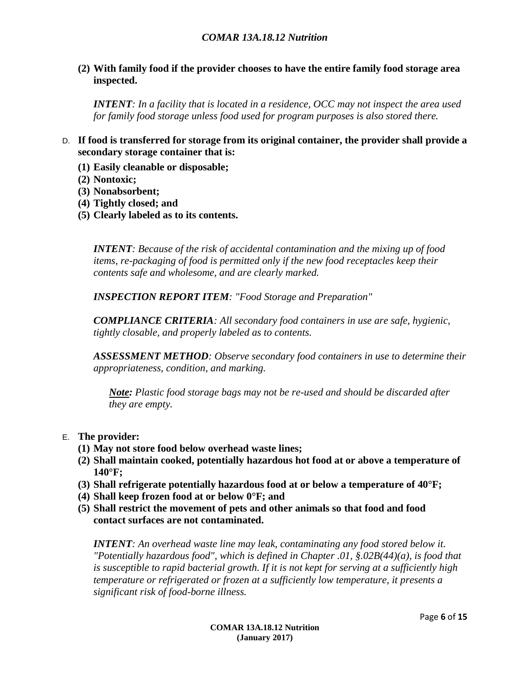**(2) With family food if the provider chooses to have the entire family food storage area inspected.**

*INTENT: In a facility that is located in a residence, OCC may not inspect the area used for family food storage unless food used for program purposes is also stored there.*

- D. **If food is transferred for storage from its original container, the provider shall provide a secondary storage container that is:**
	- **(1) Easily cleanable or disposable;**
	- **(2) Nontoxic;**
	- **(3) Nonabsorbent;**
	- **(4) Tightly closed; and**
	- **(5) Clearly labeled as to its contents.**

*INTENT: Because of the risk of accidental contamination and the mixing up of food items, re-packaging of food is permitted only if the new food receptacles keep their contents safe and wholesome, and are clearly marked.*

*INSPECTION REPORT ITEM: "Food Storage and Preparation"*

*COMPLIANCE CRITERIA: All secondary food containers in use are safe, hygienic, tightly closable, and properly labeled as to contents.*

*ASSESSMENT METHOD: Observe secondary food containers in use to determine their appropriateness, condition, and marking.*

*Note: Plastic food storage bags may not be re-used and should be discarded after they are empty.*

- E. **The provider:**
	- **(1) May not store food below overhead waste lines;**
	- **(2) Shall maintain cooked, potentially hazardous hot food at or above a temperature of 140°F;**
	- **(3) Shall refrigerate potentially hazardous food at or below a temperature of 40°F;**
	- **(4) Shall keep frozen food at or below 0°F; and**
	- **(5) Shall restrict the movement of pets and other animals so that food and food contact surfaces are not contaminated.**

*INTENT: An overhead waste line may leak, contaminating any food stored below it. "Potentially hazardous food", which is defined in Chapter .01, §.02B(44)(a), is food that is susceptible to rapid bacterial growth. If it is not kept for serving at a sufficiently high temperature or refrigerated or frozen at a sufficiently low temperature, it presents a significant risk of food-borne illness.*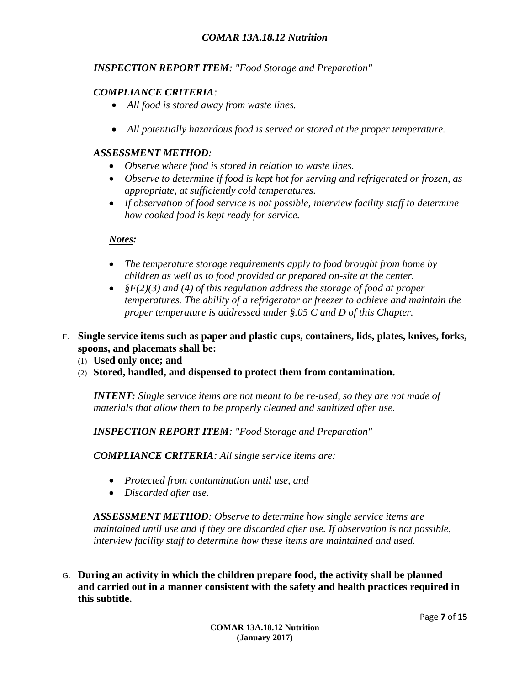#### *INSPECTION REPORT ITEM: "Food Storage and Preparation"*

#### *COMPLIANCE CRITERIA:*

- *All food is stored away from waste lines.*
- *All potentially hazardous food is served or stored at the proper temperature.*

#### *ASSESSMENT METHOD:*

- *Observe where food is stored in relation to waste lines.*
- *Observe to determine if food is kept hot for serving and refrigerated or frozen, as appropriate, at sufficiently cold temperatures.*
- *If observation of food service is not possible, interview facility staff to determine how cooked food is kept ready for service.*

#### *Notes:*

- *The temperature storage requirements apply to food brought from home by children as well as to food provided or prepared on-site at the center.*
- *§F(2)(3) and (4) of this regulation address the storage of food at proper temperatures. The ability of a refrigerator or freezer to achieve and maintain the proper temperature is addressed under §.05 C and D of this Chapter.*
- F. **Single service items such as paper and plastic cups, containers, lids, plates, knives, forks, spoons, and placemats shall be:**
	- (1) **Used only once; and**
	- (2) **Stored, handled, and dispensed to protect them from contamination.**

*INTENT: Single service items are not meant to be re-used, so they are not made of materials that allow them to be properly cleaned and sanitized after use.* 

*INSPECTION REPORT ITEM: "Food Storage and Preparation"*

*COMPLIANCE CRITERIA: All single service items are:*

- *Protected from contamination until use, and*
- *Discarded after use.*

*ASSESSMENT METHOD: Observe to determine how single service items are maintained until use and if they are discarded after use. If observation is not possible, interview facility staff to determine how these items are maintained and used.*

G. **During an activity in which the children prepare food, the activity shall be planned and carried out in a manner consistent with the safety and health practices required in this subtitle.**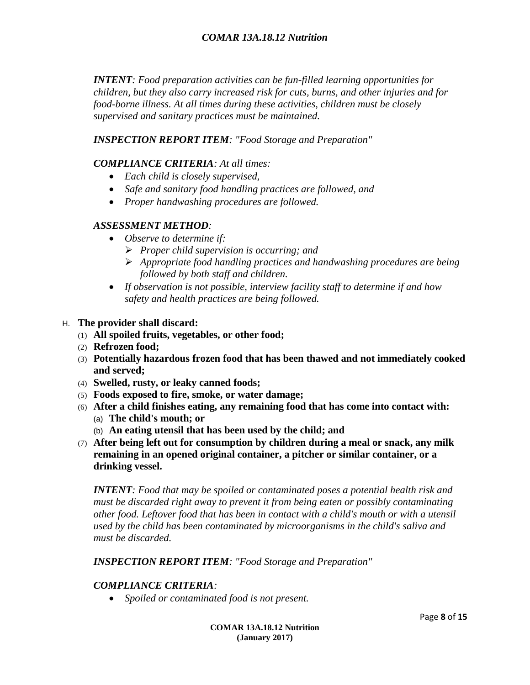*INTENT: Food preparation activities can be fun-filled learning opportunities for children, but they also carry increased risk for cuts, burns, and other injuries and for food-borne illness. At all times during these activities, children must be closely supervised and sanitary practices must be maintained.*

*INSPECTION REPORT ITEM: "Food Storage and Preparation"*

#### *COMPLIANCE CRITERIA: At all times:*

- *Each child is closely supervised,*
- *Safe and sanitary food handling practices are followed, and*
- *Proper handwashing procedures are followed.*

#### *ASSESSMENT METHOD:*

- *Observe to determine if:*
	- *Proper child supervision is occurring; and*
	- *Appropriate food handling practices and handwashing procedures are being followed by both staff and children.*
- *If observation is not possible, interview facility staff to determine if and how safety and health practices are being followed.*

#### H. **The provider shall discard:**

- (1) **All spoiled fruits, vegetables, or other food;**
- (2) **Refrozen food;**
- (3) **Potentially hazardous frozen food that has been thawed and not immediately cooked and served;**
- (4) **Swelled, rusty, or leaky canned foods;**
- (5) **Foods exposed to fire, smoke, or water damage;**
- (6) **After a child finishes eating, any remaining food that has come into contact with:** (a) **The child's mouth; or**
	- (b) **An eating utensil that has been used by the child; and**
- (7) **After being left out for consumption by children during a meal or snack, any milk remaining in an opened original container, a pitcher or similar container, or a drinking vessel.**

*INTENT: Food that may be spoiled or contaminated poses a potential health risk and must be discarded right away to prevent it from being eaten or possibly contaminating other food. Leftover food that has been in contact with a child's mouth or with a utensil used by the child has been contaminated by microorganisms in the child's saliva and must be discarded.*

*INSPECTION REPORT ITEM: "Food Storage and Preparation"*

#### *COMPLIANCE CRITERIA:*

*Spoiled or contaminated food is not present.*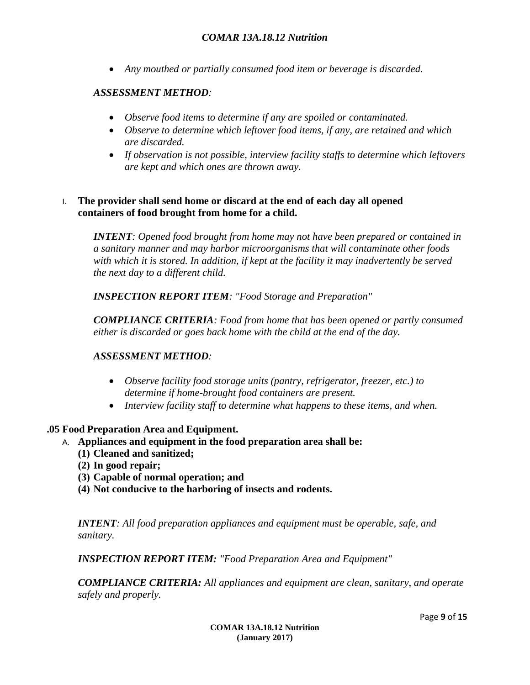*Any mouthed or partially consumed food item or beverage is discarded.*

#### *ASSESSMENT METHOD:*

- *Observe food items to determine if any are spoiled or contaminated.*
- *Observe to determine which leftover food items, if any, are retained and which are discarded.*
- *If observation is not possible, interview facility staffs to determine which leftovers are kept and which ones are thrown away.*

#### I. **The provider shall send home or discard at the end of each day all opened containers of food brought from home for a child.**

*INTENT: Opened food brought from home may not have been prepared or contained in a sanitary manner and may harbor microorganisms that will contaminate other foods with which it is stored. In addition, if kept at the facility it may inadvertently be served the next day to a different child.* 

*INSPECTION REPORT ITEM: "Food Storage and Preparation"*

*COMPLIANCE CRITERIA: Food from home that has been opened or partly consumed either is discarded or goes back home with the child at the end of the day.*

#### *ASSESSMENT METHOD:*

- *Observe facility food storage units (pantry, refrigerator, freezer, etc.) to determine if home-brought food containers are present.*
- *Interview facility staff to determine what happens to these items, and when.*

#### **.05 Food Preparation Area and Equipment.**

- A. **Appliances and equipment in the food preparation area shall be:**
	- **(1) Cleaned and sanitized;**
	- **(2) In good repair;**
	- **(3) Capable of normal operation; and**
	- **(4) Not conducive to the harboring of insects and rodents.**

*INTENT: All food preparation appliances and equipment must be operable, safe, and sanitary.*

*INSPECTION REPORT ITEM: "Food Preparation Area and Equipment"*

*COMPLIANCE CRITERIA: All appliances and equipment are clean, sanitary, and operate safely and properly.*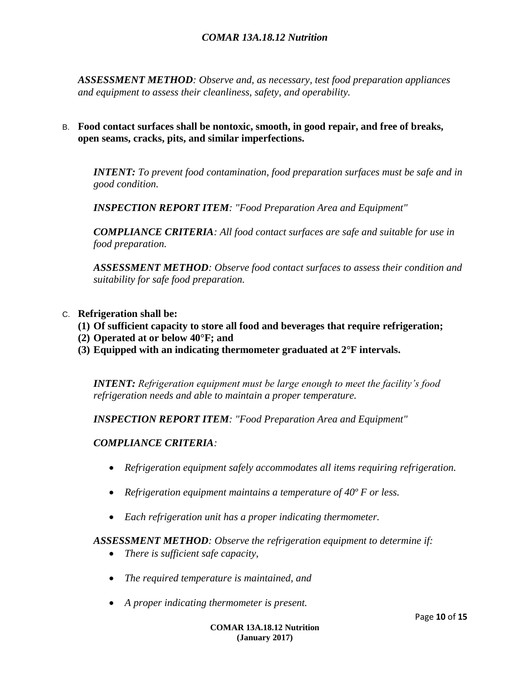*ASSESSMENT METHOD: Observe and, as necessary, test food preparation appliances and equipment to assess their cleanliness, safety, and operability.*

#### B. **Food contact surfaces shall be nontoxic, smooth, in good repair, and free of breaks, open seams, cracks, pits, and similar imperfections.**

*INTENT: To prevent food contamination, food preparation surfaces must be safe and in good condition.*

*INSPECTION REPORT ITEM: "Food Preparation Area and Equipment"*

*COMPLIANCE CRITERIA: All food contact surfaces are safe and suitable for use in food preparation.*

*ASSESSMENT METHOD: Observe food contact surfaces to assess their condition and suitability for safe food preparation.*

- C. **Refrigeration shall be:**
	- **(1) Of sufficient capacity to store all food and beverages that require refrigeration;**
	- **(2) Operated at or below 40°F; and**
	- **(3) Equipped with an indicating thermometer graduated at 2°F intervals.**

*INTENT: Refrigeration equipment must be large enough to meet the facility's food refrigeration needs and able to maintain a proper temperature.*

*INSPECTION REPORT ITEM: "Food Preparation Area and Equipment"*

#### *COMPLIANCE CRITERIA:*

- *Refrigeration equipment safely accommodates all items requiring refrigeration.*
- *Refrigeration equipment maintains a temperature of 40º F or less.*
- *Each refrigeration unit has a proper indicating thermometer.*

#### *ASSESSMENT METHOD: Observe the refrigeration equipment to determine if:*

- *There is sufficient safe capacity,*
- *The required temperature is maintained, and*
- *A proper indicating thermometer is present.*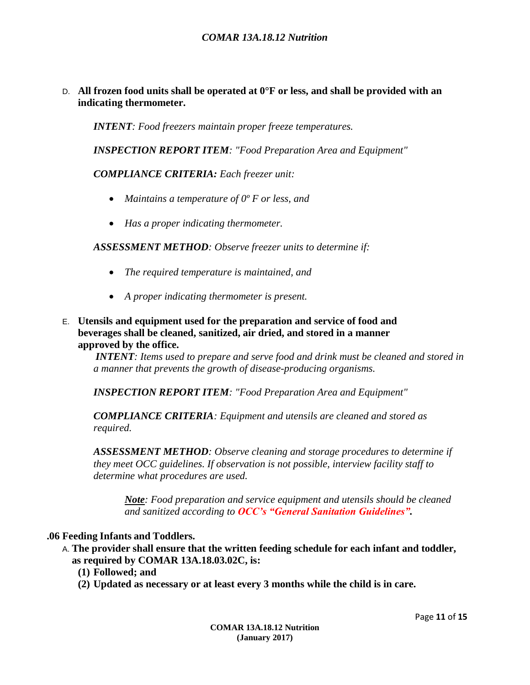D. **All frozen food units shall be operated at 0°F or less, and shall be provided with an indicating thermometer.**

*INTENT: Food freezers maintain proper freeze temperatures.*

*INSPECTION REPORT ITEM: "Food Preparation Area and Equipment"*

#### *COMPLIANCE CRITERIA: Each freezer unit:*

- *Maintains a temperature of 0º F or less, and*
- *Has a proper indicating thermometer.*

*ASSESSMENT METHOD: Observe freezer units to determine if:*

- *The required temperature is maintained, and*
- *A proper indicating thermometer is present.*
- E. **Utensils and equipment used for the preparation and service of food and beverages shall be cleaned, sanitized, air dried, and stored in a manner approved by the office.**

*INTENT: Items used to prepare and serve food and drink must be cleaned and stored in a manner that prevents the growth of disease-producing organisms.*

*INSPECTION REPORT ITEM: "Food Preparation Area and Equipment"*

*COMPLIANCE CRITERIA: Equipment and utensils are cleaned and stored as required.*

*ASSESSMENT METHOD: Observe cleaning and storage procedures to determine if they meet OCC guidelines. If observation is not possible, interview facility staff to determine what procedures are used.*

*Note: Food preparation and service equipment and utensils should be cleaned and sanitized according to OCC's "General Sanitation Guidelines".*

#### **.06 Feeding Infants and Toddlers.**

- A. **The provider shall ensure that the written feeding schedule for each infant and toddler, as required by COMAR 13A.18.03.02C, is:**
	- **(1) Followed; and**
	- **(2) Updated as necessary or at least every 3 months while the child is in care.**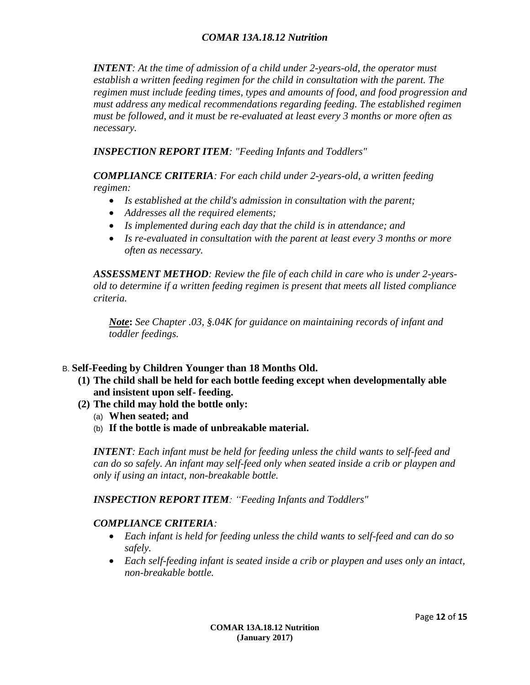*INTENT: At the time of admission of a child under 2-years-old, the operator must establish a written feeding regimen for the child in consultation with the parent. The regimen must include feeding times, types and amounts of food, and food progression and must address any medical recommendations regarding feeding. The established regimen must be followed, and it must be re-evaluated at least every 3 months or more often as necessary.*

*INSPECTION REPORT ITEM: "Feeding Infants and Toddlers"*

*COMPLIANCE CRITERIA: For each child under 2-years-old, a written feeding regimen:*

- *Is established at the child's admission in consultation with the parent;*
- *Addresses all the required elements;*
- *Is implemented during each day that the child is in attendance; and*
- *Is re-evaluated in consultation with the parent at least every 3 months or more often as necessary.*

*ASSESSMENT METHOD: Review the file of each child in care who is under 2-yearsold to determine if a written feeding regimen is present that meets all listed compliance criteria.*

*Note***:** *See Chapter .03, §.04K for guidance on maintaining records of infant and toddler feedings.*

### B. **Self-Feeding by Children Younger than 18 Months Old.**

- **(1) The child shall be held for each bottle feeding except when developmentally able and insistent upon self- feeding.**
- **(2) The child may hold the bottle only:**
	- (a) **When seated; and**
	- (b) **If the bottle is made of unbreakable material.**

*INTENT: Each infant must be held for feeding unless the child wants to self-feed and can do so safely. An infant may self-feed only when seated inside a crib or playpen and only if using an intact, non-breakable bottle.*

*INSPECTION REPORT ITEM: "Feeding Infants and Toddlers"*

### *COMPLIANCE CRITERIA:*

- *Each infant is held for feeding unless the child wants to self-feed and can do so safely.*
- *Each self-feeding infant is seated inside a crib or playpen and uses only an intact, non-breakable bottle.*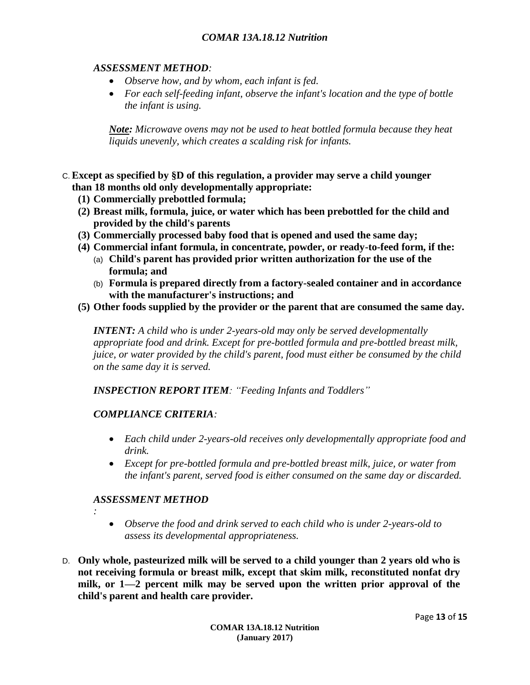#### *ASSESSMENT METHOD:*

- *Observe how, and by whom, each infant is fed.*
- *For each self-feeding infant, observe the infant's location and the type of bottle the infant is using.*

*Note: Microwave ovens may not be used to heat bottled formula because they heat liquids unevenly, which creates a scalding risk for infants.*

- C. **Except as specified by §D of this regulation, a provider may serve a child younger than 18 months old only developmentally appropriate:**
	- **(1) Commercially prebottled formula;**
	- **(2) Breast milk, formula, juice, or water which has been prebottled for the child and provided by the child's parents**
	- **(3) Commercially processed baby food that is opened and used the same day;**
	- **(4) Commercial infant formula, in concentrate, powder, or ready-to-feed form, if the:**
		- (a) **Child's parent has provided prior written authorization for the use of the formula; and**
		- (b) **Formula is prepared directly from a factory-sealed container and in accordance with the manufacturer's instructions; and**
	- **(5) Other foods supplied by the provider or the parent that are consumed the same day.**

*INTENT: A child who is under 2-years-old may only be served developmentally appropriate food and drink. Except for pre-bottled formula and pre-bottled breast milk, juice, or water provided by the child's parent, food must either be consumed by the child on the same day it is served.*

*INSPECTION REPORT ITEM: "Feeding Infants and Toddlers"*

#### *COMPLIANCE CRITERIA:*

- *Each child under 2-years-old receives only developmentally appropriate food and drink.*
- *Except for pre-bottled formula and pre-bottled breast milk, juice, or water from the infant's parent, served food is either consumed on the same day or discarded.*

#### *ASSESSMENT METHOD*

*:*

- *Observe the food and drink served to each child who is under 2-years-old to assess its developmental appropriateness.*
- D. **Only whole, pasteurized milk will be served to a child younger than 2 years old who is not receiving formula or breast milk, except that skim milk, reconstituted nonfat dry milk, or 1—2 percent milk may be served upon the written prior approval of the child's parent and health care provider.**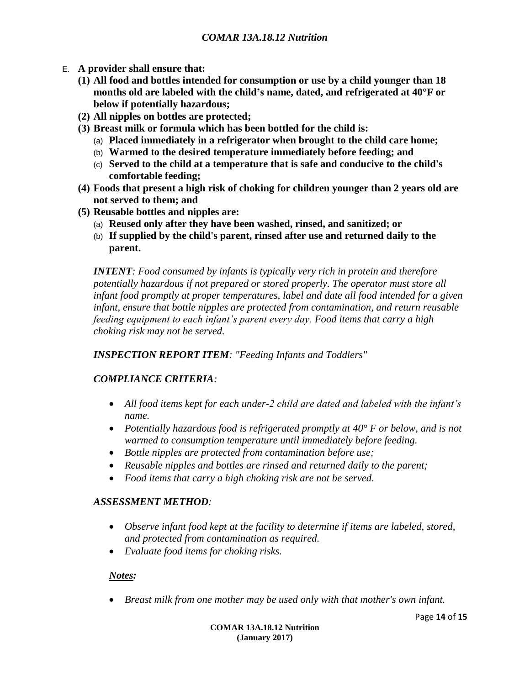- E. **A provider shall ensure that:**
	- **(1) All food and bottles intended for consumption or use by a child younger than 18 months old are labeled with the child's name, dated, and refrigerated at 40°F or below if potentially hazardous;**
	- **(2) All nipples on bottles are protected;**
	- **(3) Breast milk or formula which has been bottled for the child is:**
		- (a) **Placed immediately in a refrigerator when brought to the child care home;**
		- (b) **Warmed to the desired temperature immediately before feeding; and**
		- (c) **Served to the child at a temperature that is safe and conducive to the child's comfortable feeding;**
	- **(4) Foods that present a high risk of choking for children younger than 2 years old are not served to them; and**
	- **(5) Reusable bottles and nipples are:**
		- (a) **Reused only after they have been washed, rinsed, and sanitized; or**
		- (b) **If supplied by the child's parent, rinsed after use and returned daily to the parent.**

*INTENT: Food consumed by infants is typically very rich in protein and therefore potentially hazardous if not prepared or stored properly. The operator must store all infant food promptly at proper temperatures, label and date all food intended for a given infant, ensure that bottle nipples are protected from contamination, and return reusable feeding equipment to each infant's parent every day. Food items that carry a high choking risk may not be served.*

#### *INSPECTION REPORT ITEM: "Feeding Infants and Toddlers"*

#### *COMPLIANCE CRITERIA:*

- *All food items kept for each under-2 child are dated and labeled with the infant's name.*
- *Potentially hazardous food is refrigerated promptly at 40° F or below, and is not warmed to consumption temperature until immediately before feeding.*
- *Bottle nipples are protected from contamination before use;*
- *Reusable nipples and bottles are rinsed and returned daily to the parent;*
- *Food items that carry a high choking risk are not be served.*

#### *ASSESSMENT METHOD:*

- *Observe infant food kept at the facility to determine if items are labeled, stored, and protected from contamination as required.*
- *Evaluate food items for choking risks.*

#### *Notes:*

*Breast milk from one mother may be used only with that mother's own infant.*